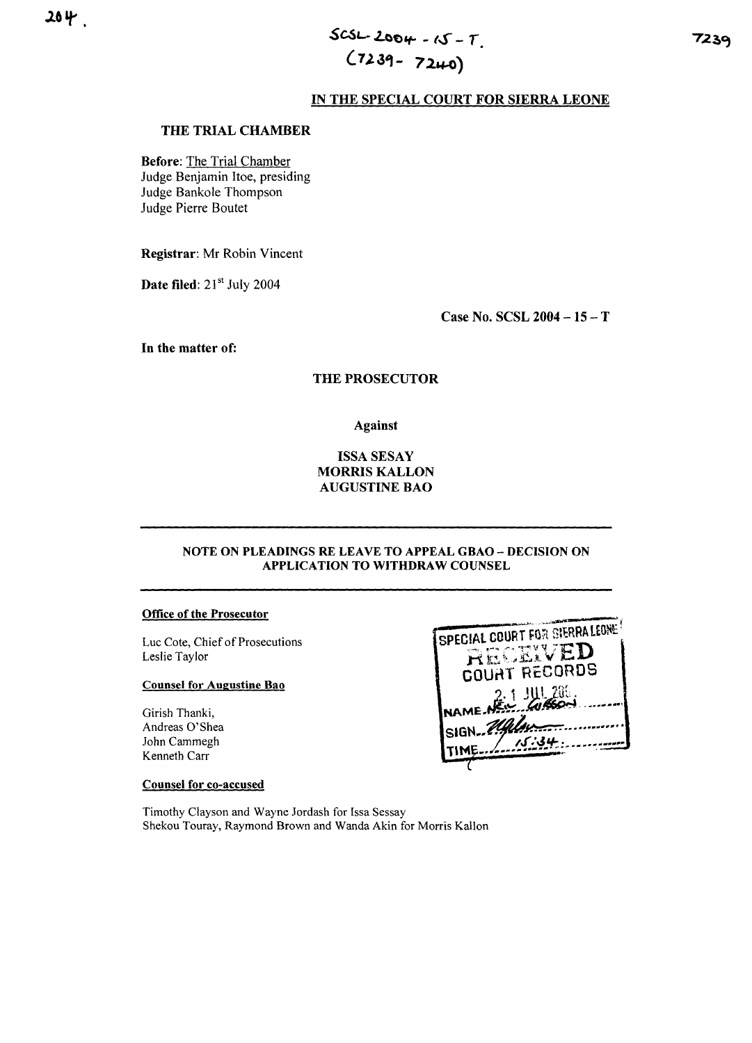# $SCSL-2004 - 15 - T$  $(7239 - 7240)$

## IN THE SPECIAL COURT FOR SIERRA LEONE

## THE TRIAL CHAMBER

**Before: The Trial Chamber** Judge Benjamin Itoe, presiding Judge Bankole Thompson Judge Pierre Boutet

Registrar: Mr Robin Vincent

Date filed: 21<sup>st</sup> July 2004

Case No. SCSL  $2004 - 15 - T$ 

In the matter of:

## **THE PROSECUTOR**

**Against** 

## **ISSA SESAY MORRIS KALLON AUGUSTINE BAO**

### NOTE ON PLEADINGS RE LEAVE TO APPEAL GBAO - DECISION ON APPLICATION TO WITHDRAW COUNSEL

## **Office of the Prosecutor**

Luc Cote, Chief of Prosecutions Leslie Taylor

### **Counsel for Augustine Bao**

Girish Thanki, Andreas O'Shea John Cammegh Kenneth Carr

## **Counsel for co-accused**

SPECIAL COURT FOR SIERRA LEONE RECEIVED **COURT RECORDS** 1 1111 200. WASO-**NAME NEW** SIGN 200 TIME.

Timothy Clayson and Wayne Jordash for Issa Sessay Shekou Touray, Raymond Brown and Wanda Akin for Morris Kallon